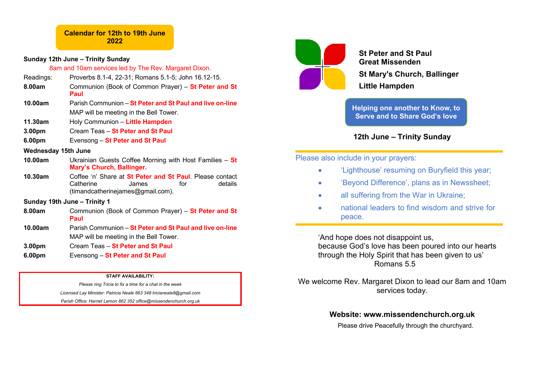## **Sunday 12th June – Trinity Sunday**

8am and 10am services led by The Rev. Margaret Dixon.

- Readings: Proverbs 8.1-4, 22-31; Romans 5.1-5; John 16.12-15.
- **8.00am** Communion (Book of Common Prayer) **St Peter and St Paul**
- **10.00am** Parish Communion **St Peter and St Paul and live on-line** MAP will be meeting in the Bell Tower.
- **11.30am** Holy Communion **Little Hampden**
- **3.00pm** Cream Teas **St Peter and St Paul**
- **6.00pm** Evensong **St Peter and St Paul**

## **Wednesday 15th June**

- **10.00am** Ukrainian Guests Coffee Morning with Host Families **St Mary's Church, Ballinger.**
- **10.30am** Coffee 'n' Share at **St Peter and St Paul**. Please contact Catherine James for details (timandcatherinejames@gmail.com).

# **Sunday 19th June – Trinity 1**

- **8.00am** Communion (Book of Common Prayer) **St Peter and St Paul**
- **10.00am** Parish Communion **St Peter and St Paul and live on-line** MAP will be meeting in the Bell Tower.
- **3.00pm** Cream Teas **St Peter and St Paul**
- **6.00pm** Evensong **St Peter and St Paul**

#### **STAFF AVAILABILITY:**

*Please ring Tricia to fix a time for a chat in the week Licensed Lay Minister: Patricia Neale 863 348 tricianeale8@gmail.com Parish Office: Harriet Lemon 862 352 office@missendenchurch.org.uk*



**St Peter and St Paul Great Missenden St Mary's Church, Ballinger Little Hampden**

**Helping one another to Know, to Serve and to Share God's love**

# **12th June – Trinity Sunday**

# Please also include in your prayers:

- 'Lighthouse' resuming on Buryfield this year;
- 'Beyond Difference', plans as in Newssheet;
- all suffering from the War in Ukraine:
- national leaders to find wisdom and strive for peace.

'And hope does not disappoint us, because God's love has been poured into our hearts through the Holy Spirit that has been given to us' Romans 5.5

We welcome Rev. Margaret Dixon to lead our 8am and 10am services today.

# **Website: www.missendenchurch.org.uk**

Please drive Peacefully through the churchyard.